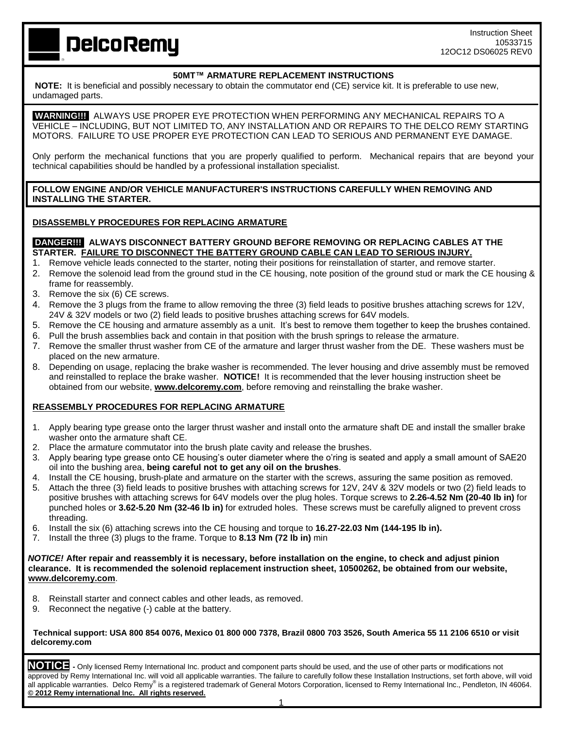# **DelcoRemy**

## **50MT™ ARMATURE REPLACEMENT INSTRUCTIONS**

**NOTE:** It is beneficial and possibly necessary to obtain the commutator end (CE) service kit. It is preferable to use new, undamaged parts.

 **WARNING!!!** ALWAYS USE PROPER EYE PROTECTION WHEN PERFORMING ANY MECHANICAL REPAIRS TO A VEHICLE – INCLUDING, BUT NOT LIMITED TO, ANY INSTALLATION AND OR REPAIRS TO THE DELCO REMY STARTING MOTORS. FAILURE TO USE PROPER EYE PROTECTION CAN LEAD TO SERIOUS AND PERMANENT EYE DAMAGE.

Only perform the mechanical functions that you are properly qualified to perform. Mechanical repairs that are beyond your technical capabilities should be handled by a professional installation specialist.

#### **FOLLOW ENGINE AND/OR VEHICLE MANUFACTURER'S INSTRUCTIONS CAREFULLY WHEN REMOVING AND INSTALLING THE STARTER.**

#### **DISASSEMBLY PROCEDURES FOR REPLACING ARMATURE**

#### **DANGER!!! ALWAYS DISCONNECT BATTERY GROUND BEFORE REMOVING OR REPLACING CABLES AT THE STARTER. FAILURE TO DISCONNECT THE BATTERY GROUND CABLE CAN LEAD TO SERIOUS INJURY.**

- 1. Remove vehicle leads connected to the starter, noting their positions for reinstallation of starter, and remove starter.
- 2. Remove the solenoid lead from the ground stud in the CE housing, note position of the ground stud or mark the CE housing & frame for reassembly.
- 3. Remove the six (6) CE screws.
- 4. Remove the 3 plugs from the frame to allow removing the three (3) field leads to positive brushes attaching screws for 12V, 24V & 32V models or two (2) field leads to positive brushes attaching screws for 64V models.
- 5. Remove the CE housing and armature assembly as a unit. It's best to remove them together to keep the brushes contained.
- 6. Pull the brush assemblies back and contain in that position with the brush springs to release the armature.
- 7. Remove the smaller thrust washer from CE of the armature and larger thrust washer from the DE. These washers must be placed on the new armature.
- 8. Depending on usage, replacing the brake washer is recommended. The lever housing and drive assembly must be removed and reinstalled to replace the brake washer. **NOTICE!** It is recommended that the lever housing instruction sheet be obtained from our website, **[www.delcoremy.com](http://www.delcoremy.com/)**, before removing and reinstalling the brake washer.

#### **REASSEMBLY PROCEDURES FOR REPLACING ARMATURE**

- 1. Apply bearing type grease onto the larger thrust washer and install onto the armature shaft DE and install the smaller brake washer onto the armature shaft CE.
- 2. Place the armature commutator into the brush plate cavity and release the brushes.
- 3. Apply bearing type grease onto CE housing's outer diameter where the o'ring is seated and apply a small amount of SAE20 oil into the bushing area, **being careful not to get any oil on the brushes**.
- 4. Install the CE housing, brush-plate and armature on the starter with the screws, assuring the same position as removed.
- 5. Attach the three (3) field leads to positive brushes with attaching screws for 12V, 24V & 32V models or two (2) field leads to positive brushes with attaching screws for 64V models over the plug holes. Torque screws to **2.26-4.52 Nm (20-40 lb in)** for punched holes or **3.62-5.20 Nm (32-46 lb in)** for extruded holes. These screws must be carefully aligned to prevent cross threading.
- 6. Install the six (6) attaching screws into the CE housing and torque to **16.27-22.03 Nm (144-195 lb in).**
- 7. Install the three (3) plugs to the frame. Torque to **8.13 Nm (72 lb in)** min

*NOTICE!* **After repair and reassembly it is necessary, before installation on the engine, to check and adjust pinion clearance. It is recommended the solenoid replacement instruction sheet, 10500262, be obtained from our website, [www.delcoremy.com](http://www.delcoremy.com/)**.

- 8. Reinstall starter and connect cables and other leads, as removed.
- 9. Reconnect the negative (-) cable at the battery.

#### **Technical support: USA 800 854 0076, Mexico 01 800 000 7378, Brazil 0800 703 3526, South America 55 11 2106 6510 or visit delcoremy.com**

**NOTICE -** Only licensed Remy International Inc. product and component parts should be used, and the use of other parts or modifications not approved by Remy International Inc. will void all applicable warranties. The failure to carefully follow these Installation Instructions, set forth above, will void all applicable warranties. Delco Remy® is a registered trademark of General Motors Corporation, licensed to Remy International Inc., Pendleton, IN 46064. **© 2012 Remy international Inc. All rights reserved.**